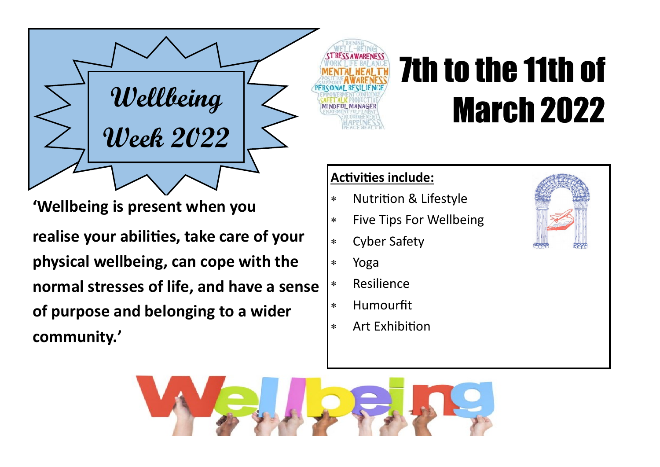

**'Wellbeing is present when you** 

**realise your abilities, take care of your physical wellbeing, can cope with the normal stresses of life, and have a sense of purpose and belonging to a wider community.'** 

# 7th to the 11th of March 2022

### **Activities include:**

- Nutrition & Lifestyle
- Five Tips For Wellbeing
- Cyber Safety
- Yoga
- Resilience
- Humourfit
- Art Exhibition



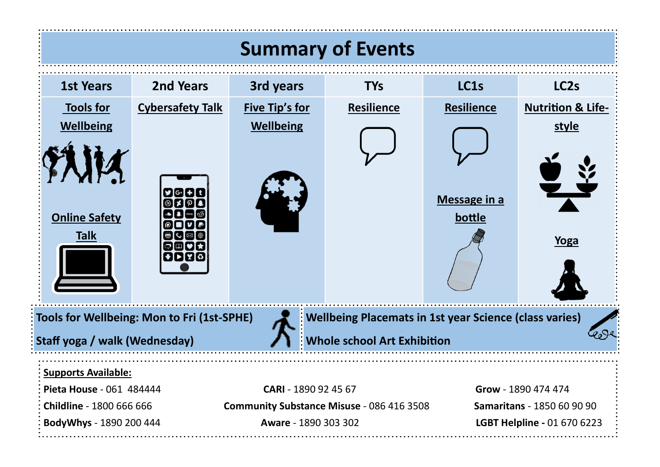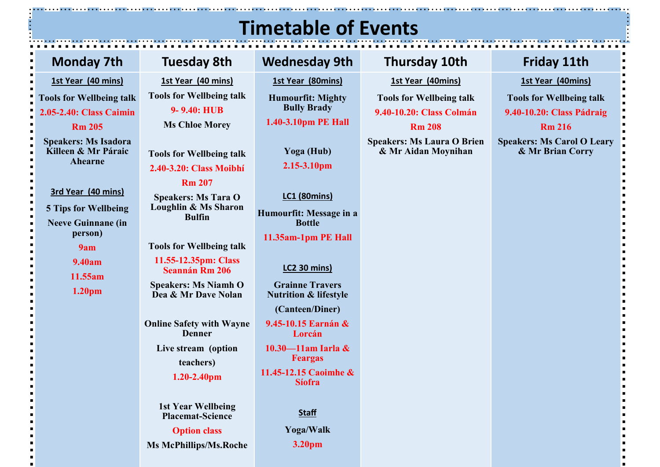## **Timetable of Events**

 $.........$ 

 $\overline{\cdots}$ 

| <b>Monday 7th</b><br>$\ddot{\phantom{a}}$          | <b>Tuesday 8th</b>                                   | <b>Wednesday 9th</b>                   | <b>Thursday 10th</b>                                     | <b>Friday 11th</b>                                    |
|----------------------------------------------------|------------------------------------------------------|----------------------------------------|----------------------------------------------------------|-------------------------------------------------------|
| 1st Year (40 mins)                                 | 1st Year (40 mins)                                   | 1st Year (80mins)                      | 1st Year (40mins)                                        | 1st Year (40mins)                                     |
| <b>Tools for Wellbeing talk</b>                    | <b>Tools for Wellbeing talk</b>                      | <b>Humourfit: Mighty</b>               | <b>Tools for Wellbeing talk</b>                          | <b>Tools for Wellbeing talk</b>                       |
| 2.05-2.40: Class Caimin                            | 9-9.40: HUB                                          | <b>Bully Brady</b>                     | 9.40-10.20: Class Colmán                                 | 9.40-10.20: Class Pádraig                             |
| <b>Rm 205</b>                                      | <b>Ms Chloe Morey</b>                                | 1.40-3.10pm PE Hall                    | <b>Rm 208</b>                                            | <b>Rm 216</b>                                         |
| <b>Speakers: Ms Isadora</b><br>Killeen & Mr Páraic |                                                      | Yoga (Hub)                             | <b>Speakers: Ms Laura O Brien</b><br>& Mr Aidan Moynihan | <b>Speakers: Ms Carol O Leary</b><br>& Mr Brian Corry |
| Ahearne                                            | <b>Tools for Wellbeing talk</b>                      | 2.15-3.10pm                            |                                                          |                                                       |
|                                                    | 2.40-3.20: Class Moibhí<br><b>Rm 207</b>             |                                        |                                                          |                                                       |
| 3rd Year (40 mins)                                 | <b>Speakers: Ms Tara O</b>                           | <b>LC1 (80mins)</b>                    |                                                          |                                                       |
| <b>5 Tips for Wellbeing</b>                        | Loughlin & Ms Sharon                                 | Humourfit: Message in a                |                                                          |                                                       |
| <b>Neeve Guinnane (in</b>                          | <b>Bulfin</b>                                        | <b>Bottle</b>                          |                                                          |                                                       |
| person)                                            |                                                      | 11.35am-1pm PE Hall                    |                                                          |                                                       |
| 9am                                                | <b>Tools for Wellbeing talk</b>                      |                                        |                                                          |                                                       |
| 9.40am                                             | 11.55-12.35pm: Class<br><b>Seannán Rm 206</b>        | <b>LC2 30 mins)</b>                    |                                                          |                                                       |
| 11.55am<br>1.20 <sub>pm</sub>                      | <b>Speakers: Ms Niamh O</b>                          | <b>Grainne Travers</b>                 |                                                          |                                                       |
|                                                    | Dea & Mr Dave Nolan                                  | <b>Nutrition &amp; lifestyle</b>       |                                                          |                                                       |
|                                                    |                                                      | (Canteen/Diner)                        |                                                          |                                                       |
|                                                    | <b>Online Safety with Wayne</b><br><b>Denner</b>     | 9.45-10.15 Earnán &<br>Lorcán          |                                                          |                                                       |
|                                                    | Live stream (option                                  | 10.30—11am Iarla $\&$                  |                                                          |                                                       |
|                                                    | teachers)                                            | <b>Feargas</b>                         |                                                          |                                                       |
|                                                    | $1.20 - 2.40$ pm                                     | 11.45-12.15 Caoimhe &<br><b>Síofra</b> |                                                          |                                                       |
|                                                    |                                                      |                                        |                                                          |                                                       |
|                                                    | <b>1st Year Wellbeing</b><br><b>Placemat-Science</b> | <b>Staff</b>                           |                                                          |                                                       |
|                                                    | <b>Option class</b>                                  | Yoga/Walk                              |                                                          |                                                       |
|                                                    | Ms McPhillips/Ms.Roche                               | 3.20pm                                 |                                                          |                                                       |
|                                                    |                                                      |                                        |                                                          |                                                       |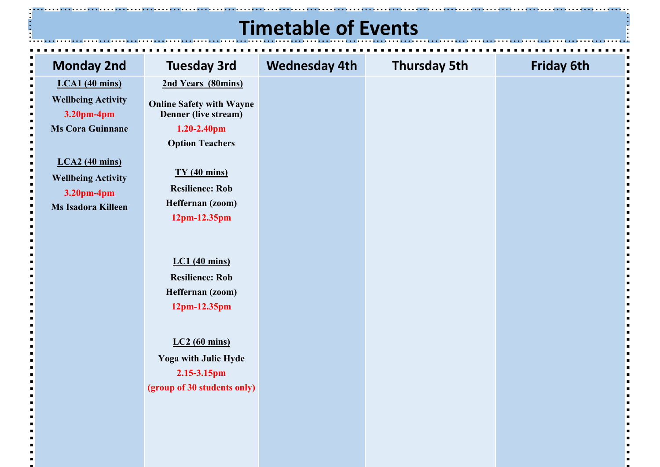## **Timetable of Events**

| <b>Monday 2nd</b>                                                                        | <b>Tuesday 3rd</b>                                                         | <b>Wednesday 4th</b> | <b>Thursday 5th</b> | <b>Friday 6th</b> |
|------------------------------------------------------------------------------------------|----------------------------------------------------------------------------|----------------------|---------------------|-------------------|
| <b>LCA1</b> (40 mins)                                                                    | 2nd Years (80mins)                                                         |                      |                     |                   |
| <b>Wellbeing Activity</b><br>3.20pm-4pm                                                  | <b>Online Safety with Wayne</b><br>Denner (live stream)                    |                      |                     |                   |
| <b>Ms Cora Guinnane</b>                                                                  | $1.20 - 2.40$ pm                                                           |                      |                     |                   |
|                                                                                          | <b>Option Teachers</b>                                                     |                      |                     |                   |
| $LCA2 (40 mins)$<br><b>Wellbeing Activity</b><br>3.20pm-4pm<br><b>Ms Isadora Killeen</b> | TY(40 mins)<br><b>Resilience: Rob</b><br>Heffernan (zoom)<br>12pm-12.35pm  |                      |                     |                   |
|                                                                                          |                                                                            |                      |                     |                   |
|                                                                                          | LC1(40 mins)<br><b>Resilience: Rob</b><br>Heffernan (zoom)<br>12pm-12.35pm |                      |                     |                   |
|                                                                                          | LC2(60 mins)<br><b>Yoga with Julie Hyde</b><br>2.15-3.15pm                 |                      |                     |                   |
|                                                                                          | (group of 30 students only)                                                |                      |                     |                   |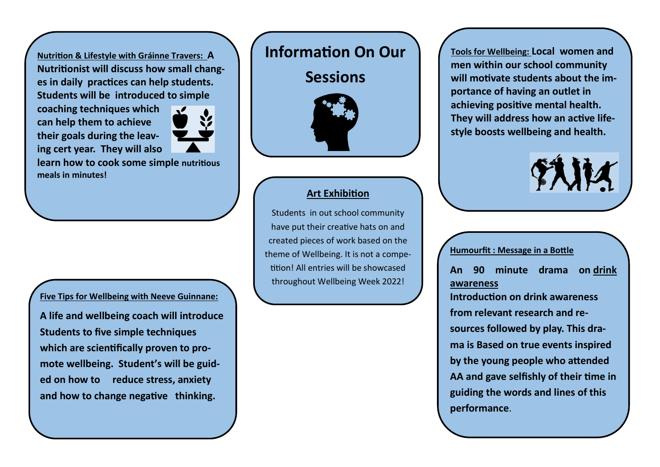**Nutrition & Lifestyle with Gráinne Travers: A Nutritionist will discuss how small changes in daily practices can help students. Students will be introduced to simple** 

**coaching techniques which can help them to achieve their goals during the leaving cert year. They will also** 



**learn how to cook some simple nutritious meals in minutes!**

**Five Tips for Wellbeing with Neeve Guinnane:** 

**A life and wellbeing coach will introduce Students to five simple techniques which are scientifically proven to promote wellbeing. Student's will be guided on how to reduce stress, anxiety and how to change negative thinking.**

**Information On Our Sessions**

#### **Art Exhibition**

Students in out school community have put their creative hats on and created pieces of work based on the theme of Wellbeing. It is not a competition! All entries will be showcased throughout Wellbeing Week 2022!

**Tools for Wellbeing: Local women and men within our school community will motivate students about the importance of having an outlet in achieving positive mental health. They will address how an active lifestyle boosts wellbeing and health.**



#### **Humourfit : Message in a Bottle**

**An 90 minute drama on drink awareness Introduction on drink awareness from relevant research and resources followed by play. This drama is Based on true events inspired by the young people who attended AA and gave selfishly of their time in** 

**guiding the words and lines of this performance**.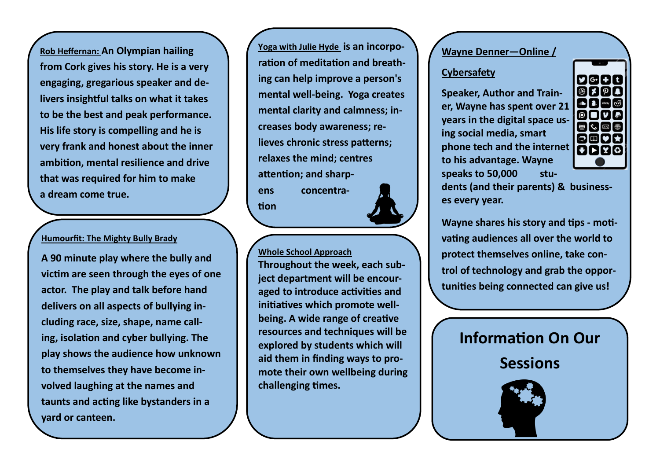**Rob Heffernan: An Olympian hailing from Cork gives his story. He is a very engaging, gregarious speaker and delivers insightful talks on what it takes to be the best and peak performance. His life story is compelling and he is very frank and honest about the inner ambition, mental resilience and drive that was required for him to make a dream come true.** 

#### **Humourfit: The Mighty Bully Brady**

**A 90 minute play where the bully and victim are seen through the eyes of one actor. The play and talk before hand delivers on all aspects of bullying including race, size, shape, name calling, isolation and cyber bullying. The play shows the audience how unknown to themselves they have become involved laughing at the names and taunts and acting like bystanders in a yard or canteen.** 

**Yoga with Julie Hyde is an incorporation of meditation and breathing can help improve a person's mental well-being. Yoga creates mental clarity and calmness; increases body awareness; relieves chronic stress patterns; relaxes the mind; centres attention; and sharpens concentration** 

**Whole School Approach Throughout the week, each subject department will be encouraged to introduce activities and initiatives which promote wellbeing. A wide range of creative resources and techniques will be explored by students which will aid them in finding ways to promote their own wellbeing during challenging times.** 

#### **Wayne Denner—Online /**

#### **Cybersafety**

**es every year.**

**Speaker, Author and Trainer, Wayne has spent over 21 years in the digital space using social media, smart phone tech and the internet to his advantage. Wayne speaks to 50,000 students (and their parents) & business-**

**Wayne shares his story and tips - motivating audiences all over the world to protect themselves online, take control of technology and grab the opportunities being connected can give us!**

## **Information On Our**

### **Sessions**